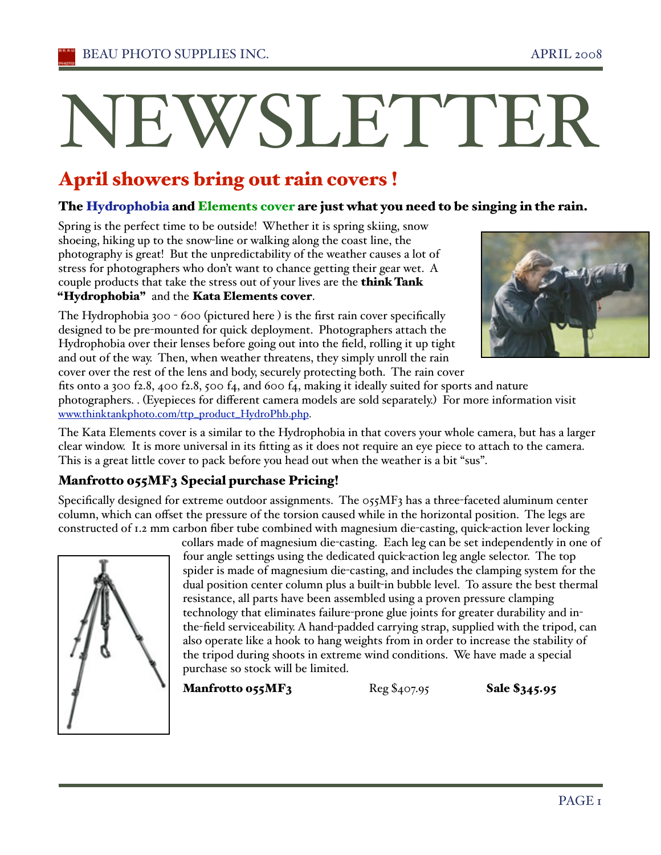# NEWSLETTER

# April showers bring out rain covers !

#### The Hydrophobia and Elements cover are just what you need to be singing in the rain.

Spring is the perfect time to be outside! Whether it is spring skiing, snow shoeing, hiking up to the snow-line or walking along the coast line, the photography is great! But the unpredictability of the weather causes a lot of stress for photographers who don't want to chance getting their gear wet. A couple products that take the stress out of your lives are the think Tank "Hydrophobia" and the Kata Elements cover.

The Hydrophobia 300 - 600 (pictured here ) is the first rain cover specifically designed to be pre-mounted for quick deployment. Photographers attach the Hydrophobia over their lenses before going out into the field, rolling it up tight and out of the way. Then, when weather threatens, they simply unroll the rain cover over the rest of the lens and body, securely protecting both. The rain cover



fits onto a 300 f2.8, 400 f2.8, 500 f4, and 600 f4, making it ideally suited for sports and nature photographers. . (Eyepieces for different camera models are sold separately.) For more information visit www.thinktankphoto.com/ttp\_product\_HydroPhb.php.

The Kata Elements cover is a similar to the Hydrophobia in that covers your whole camera, but has a larger clear window. It is more universal in its fitting as it does not require an eye piece to attach to the camera. This is a great little cover to pack before you head out when the weather is a bit "sus".

## Manfrotto 055MF3 Special purchase Pricing!

Specifically designed for extreme outdoor assignments. The  $0.055$  MF3 has a three-faceted aluminum center column, which can offset the pressure of the torsion caused while in the horizontal position. The legs are constructed of 1.2 mm carbon fiber tube combined with magnesium die-casting, quick-action lever locking



collars made of magnesium die-casting. Each leg can be set independently in one of four angle settings using the dedicated quick-action leg angle selector. The top spider is made of magnesium die-casting, and includes the clamping system for the dual position center column plus a built-in bubble level. To assure the best thermal resistance, all parts have been assembled using a proven pressure clamping technology that eliminates failure-prone glue joints for greater durability and inthe-field serviceability. A hand-padded carrying strap, supplied with the tripod, can also operate like a hook to hang weights from in order to increase the stability of the tripod during shoots in extreme wind conditions. We have made a special purchase so stock will be limited.

**Manfrotto 055MF3**  $\text{Reg } $407.95$  Sale  $$345.95$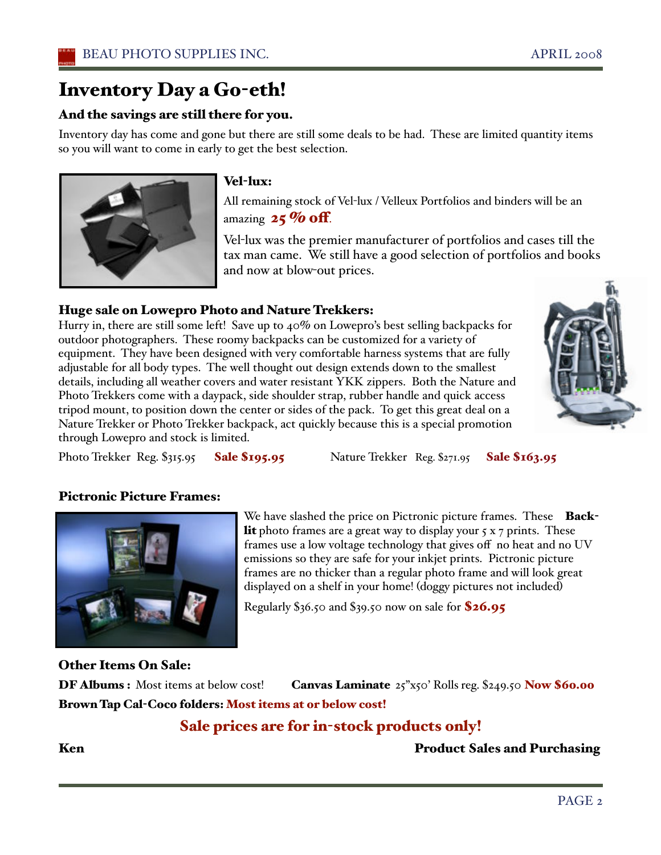# Inventory Day a Go-eth!

#### And the savings are still there for you.

Inventory day has come and gone but there are still some deals to be had. These are limited quantity items so you will want to come in early to get the best selection.



#### Vel-lux:

All remaining stock of Vel-lux / Velleux Portfolios and binders will be an amazing  $25\%$  off.

Vel-lux was the premier manufacturer of portfolios and cases till the tax man came. We still have a good selection of portfolios and books and now at blow-out prices.

#### Huge sale on Lowepro Photo and Nature Trekkers:

Hurry in, there are still some left! Save up to 40% on Lowepro's best selling backpacks for outdoor photographers. These roomy backpacks can be customized for a variety of equipment. They have been designed with very comfortable harness systems that are fully adjustable for all body types. The well thought out design extends down to the smallest details, including all weather covers and water resistant YKK zippers. Both the Nature and Photo Trekkers come with a daypack, side shoulder strap, rubber handle and quick access tripod mount, to position down the center or sides of the pack. To get this great deal on a Nature Trekker or Photo Trekker backpack, act quickly because this is a special promotion through Lowepro and stock is limited.



Photo Trekker Reg. \$315.95 Sale \$195.95 Nature Trekker Reg. \$271.95 Sale \$163.95

#### Pictronic Picture Frames:



We have slashed the price on Pictronic picture frames. These Back**lit** photo frames are a great way to display your  $5 \times 7$  prints. These frames use a low voltage technology that gives off no heat and no UV emissions so they are safe for your inkjet prints. Pictronic picture frames are no thicker than a regular photo frame and will look great displayed on a shelf in your home! (doggy pictures not included)

Regularly  $\$36.50$  and  $\$39.50$  now on sale for  $\$26.95$ 

#### Other Items On Sale:

DF Albums : Most items at below cost! Canvas Laminate 25"x50' Rolls reg. \$249.50 Now \$60.00 Brown Tap Cal-Coco folders: Most items at or below cost!

## Sale prices are for in-stock products only!

Ken **Product Sales and Purchasing**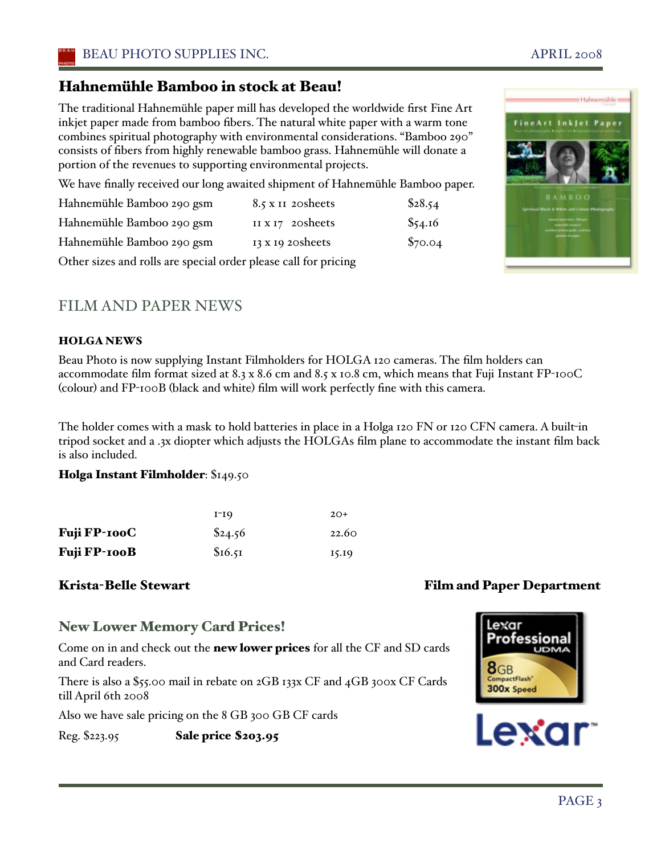The traditional Hahnemühle paper mill has developed the worldwide first Fine Art inkjet paper made from bamboo fibers. The natural white paper with a warm tone combines spiritual photography with environmental considerations. "Bamboo 290" consists of fibers from highly renewable bamboo grass. Hahnemühle will donate a portion of the revenues to supporting environmental projects.

We have finally received our long awaited shipment of Hahnemühle Bamboo paper.

| Hahnemühle Bamboo 290 gsm | 8.5 x II 20 sheets      | \$28.54 |
|---------------------------|-------------------------|---------|
| Hahnemühle Bamboo 290 gsm | II $x_17$ 20 sheets     | \$54.16 |
| Hahnemühle Bamboo 290 gsm | $13 \times 19$ 20sheets | \$70.04 |

Other sizes and rolls are special order please call for pricing

## FILM AND PAPER NEWS

#### HOLGA NEWS

Beau Photo is now supplying Instant Filmholders for HOLGA 120 cameras. The film holders can accommodate film format sized at 8.3 x 8.6 cm and 8.5 x 10.8 cm, which means that Fuji Instant FP-100C (colour) and FP-100B (black and white) film will work perfectly fine with this camera.

The holder comes with a mask to hold batteries in place in a Holga 120 FN or 120 CFN camera. A built-in tripod socket and a .3x diopter which adjusts the HOLGAs film plane to accommodate the instant film back is also included.

#### Holga Instant Filmholder: \$149.50

|                     | I-19    | $2O+$ |
|---------------------|---------|-------|
| <b>Fuji FP-100C</b> | \$24.56 | 22.60 |
| Fuji FP-100B        | \$16.51 | 15.19 |

## New Lower Memory Card Prices!

Come on in and check out the new lower prices for all the CF and SD cards and Card readers.

There is also a \$55.00 mail in rebate on 2GB 133x CF and 4GB 300x CF Cards till April 6th 2008

Also we have sale pricing on the 8 GB 300 GB CF cards

Reg. \$223.95 Sale price \$203.95

## Krista-Belle Stewart Film and Paper Department

300x Speed



exar:

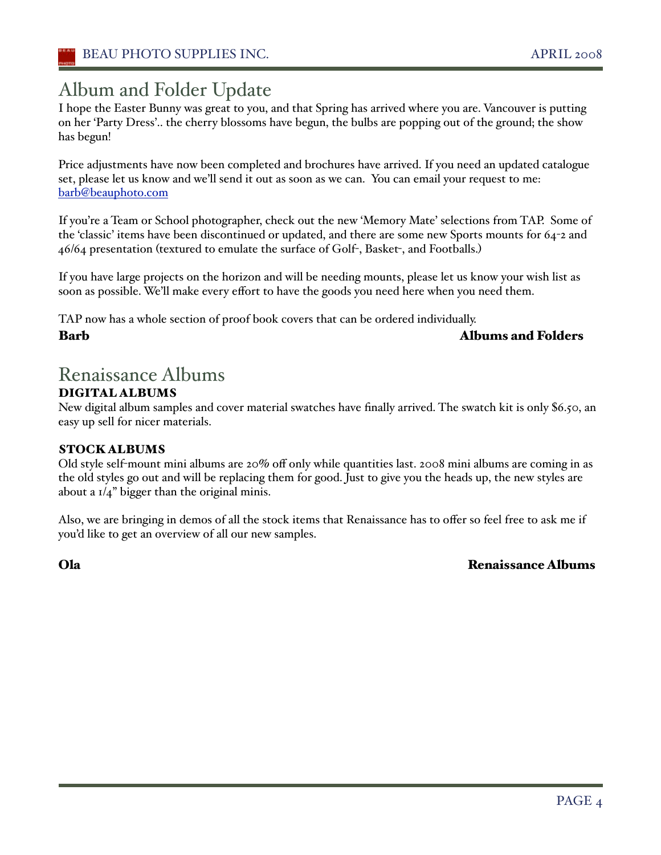# Album and Folder Update

I hope the Easter Bunny was great to you, and that Spring has arrived where you are. Vancouver is putting on her 'Party Dress'.. the cherry blossoms have begun, the bulbs are popping out of the ground; the show has begun!

Price adjustments have now been completed and brochures have arrived. If you need an updated catalogue set, please let us know and we'll send it out as soon as we can. You can email your request to me: barb@beauphoto.com

If you're a Team or School photographer, check out the new 'Memory Mate' selections from TAP. Some of the 'classic' items have been discontinued or updated, and there are some new Sports mounts for 64-2 and 46/64 presentation (textured to emulate the surface of Golf-, Basket-, and Footballs.)

If you have large projects on the horizon and will be needing mounts, please let us know your wish list as soon as possible. We'll make every effort to have the goods you need here when you need them.

TAP now has a whole section of proof book covers that can be ordered individually.

Barb Albums and Folders

# Renaissance Albums

#### DIGITAL ALBUMS

New digital album samples and cover material swatches have finally arrived. The swatch kit is only \$6.50, an easy up sell for nicer materials.

#### STOCK ALBUMS

Old style self-mount mini albums are 20% off only while quantities last. 2008 mini albums are coming in as the old styles go out and will be replacing them for good. Just to give you the heads up, the new styles are about a  $1/4$ " bigger than the original minis.

Also, we are bringing in demos of all the stock items that Renaissance has to offer so feel free to ask me if you'd like to get an overview of all our new samples.

Ola Renaissance Albums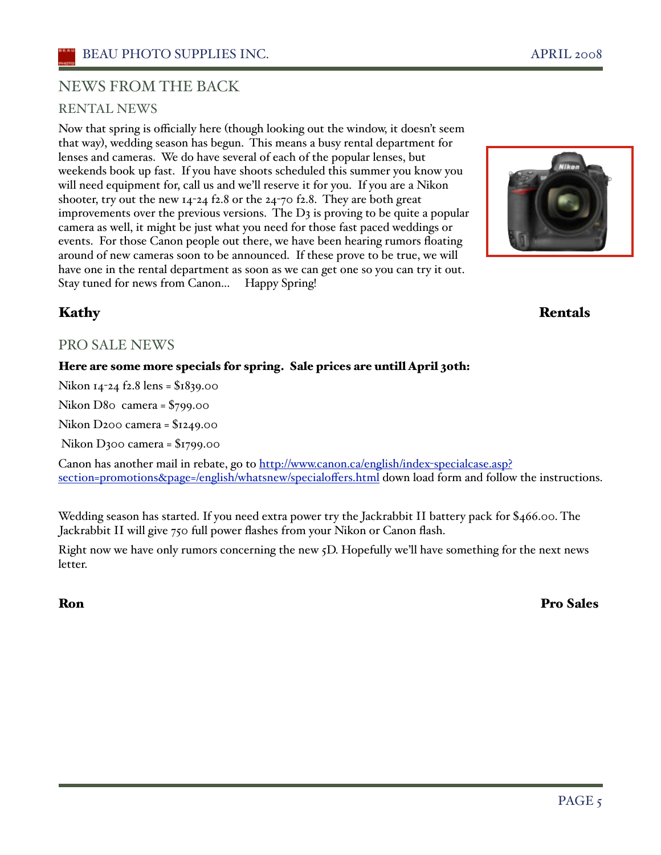## NEWS FROM THE BACK

#### RENTAL NEWS

Now that spring is officially here (though looking out the window, it doesn't seem that way), wedding season has begun. This means a busy rental department for lenses and cameras. We do have several of each of the popular lenses, but weekends book up fast. If you have shoots scheduled this summer you know you will need equipment for, call us and we'll reserve it for you. If you are a Nikon shooter, try out the new 14-24 f2.8 or the 24-70 f2.8. They are both great improvements over the previous versions. The  $D_3$  is proving to be quite a popular camera as well, it might be just what you need for those fast paced weddings or events. For those Canon people out there, we have been hearing rumors floating around of new cameras soon to be announced. If these prove to be true, we will have one in the rental department as soon as we can get one so you can try it out. Stay tuned for news from Canon... Happy Spring!



#### Kathy **Rentals**

#### PRO SALE NEWS

#### Here are some more specials for spring. Sale prices are untill April 30th:

Nikon 14-24 f2.8 lens = \$1839.00

Nikon D80 camera = \$799.00

Nikon D200 camera = \$1249.00

Nikon D300 camera = \$1799.00

Canon has another mail in rebate, go to http://www.canon.ca/english/index-specialcase.asp? section=promotions&page=/english/whatsnew/specialoffers.html down load form and follow the instructions.

Wedding season has started. If you need extra power try the Jackrabbit II battery pack for \$466.00. The Jackrabbit II will give 750 full power flashes from your Nikon or Canon flash.

Right now we have only rumors concerning the new 5D. Hopefully we'll have something for the next news letter.

#### Ron Pro Sales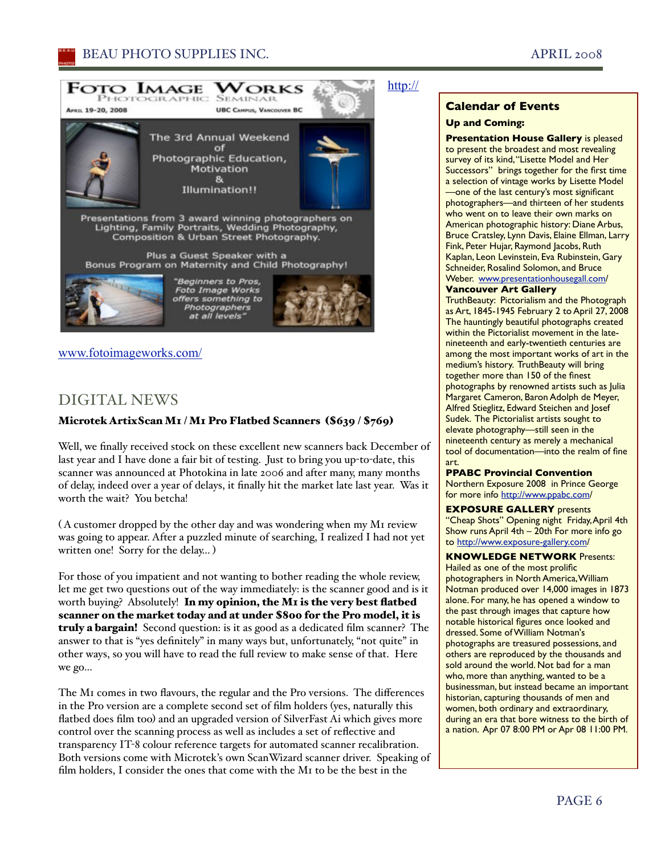#### BEAU PHOTO SUPPLIES INC. APRIL 2008



www.fotoimageworks.com/

#### DIGITAL NEWS

#### Microtek ArtixScan M1 / M1 Pro Flatbed Scanners (\$639 / \$769)

Well, we finally received stock on these excellent new scanners back December of last year and I have done a fair bit of testing. Just to bring you up-to-date, this scanner was announced at Photokina in late 2006 and after many, many months of delay, indeed over a year of delays, it finally hit the market late last year. Was it worth the wait? You betcha!

( A customer dropped by the other day and was wondering when my M1 review was going to appear. After a puzzled minute of searching, I realized I had not yet written one! Sorry for the delay... )

For those of you impatient and not wanting to bother reading the whole review, let me get two questions out of the way immediately: is the scanner good and is it worth buying? Absolutely! In my opinion, the M1 is the very best flatbed scanner on the market today and at under \$800 for the Pro model, it is truly a bargain! Second question: is it as good as a dedicated film scanner? The answer to that is "yes definitely" in many ways but, unfortunately, "not quite" in other ways, so you will have to read the full review to make sense of that. Here we go...

The M1 comes in two flavours, the regular and the Pro versions. The differences in the Pro version are a complete second set of film holders (yes, naturally this flatbed does film too) and an upgraded version of SilverFast Ai which gives more control over the scanning process as well as includes a set of reflective and transparency IT-8 colour reference targets for automated scanner recalibration. Both versions come with Microtek's own ScanWizard scanner driver. Speaking of film holders, I consider the ones that come with the M1 to be the best in the

#### http://

#### **Calendar of Events**

#### **Up and Coming:**

**Presentation House Gallery** is pleased to present the broadest and most revealing survey of its kind,"Lisette Model and Her Successors" brings together for the first time a selection of vintage works by Lisette Model —one of the last century's most significant photographers—and thirteen of her students who went on to leave their own marks on American photographic history: Diane Arbus, Bruce Cratsley, Lynn Davis, Elaine Ellman, Larry Fink, Peter Hujar, Raymond Jacobs, Ruth Kaplan, Leon Levinstein, Eva Rubinstein, Gary Schneider, Rosalind Solomon, and Bruce Weber. www.presentationhousegall.com/

#### **Vancouver Art Gallery**

TruthBeauty: Pictorialism and the Photograph as Art, 1845-1945 February 2 to April 27, 2008 The hauntingly beautiful photographs created within the Pictorialist movement in the latenineteenth and early-twentieth centuries are among the most important works of art in the medium's history. TruthBeauty will bring together more than 150 of the finest photographs by renowned artists such as Julia Margaret Cameron, Baron Adolph de Meyer, Alfred Stieglitz, Edward Steichen and Josef Sudek. The Pictorialist artists sought to elevate photography—still seen in the nineteenth century as merely a mechanical tool of documentation—into the realm of fine art.

#### **PPABC Provincial Convention**

Northern Exposure 2008 in Prince George for more info http://www.ppabc.com/

#### **EXPOSURE GALLERY** presents "Cheap Shots" Opening night Friday, April 4th Show runs April 4th – 20th For more info go to http://www.exposure-gallery.com/

**KNOWLEDGE NETWORK** Presents: Hailed as one of the most prolific photographers in North America,William Notman produced over 14,000 images in 1873 alone. For many, he has opened a window to the past through images that capture how notable historical figures once looked and dressed. Some of William Notman's photographs are treasured possessions, and others are reproduced by the thousands and sold around the world. Not bad for a man who, more than anything, wanted to be a businessman, but instead became an important historian, capturing thousands of men and women, both ordinary and extraordinary, during an era that bore witness to the birth of a nation. Apr 07 8:00 PM or Apr 08 11:00 PM.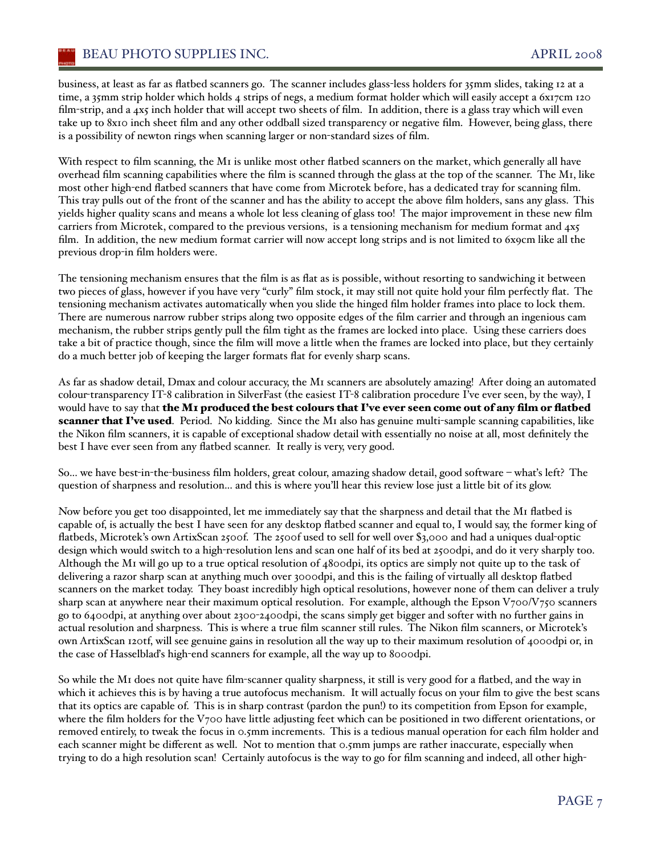business, at least as far as flatbed scanners go. The scanner includes glass-less holders for 35mm slides, taking 12 at a time, a 35mm strip holder which holds 4 strips of negs, a medium format holder which will easily accept a 6x17cm 120 film-strip, and a 4x5 inch holder that will accept two sheets of film. In addition, there is a glass tray which will even take up to 8x10 inch sheet film and any other oddball sized transparency or negative film. However, being glass, there is a possibility of newton rings when scanning larger or non-standard sizes of film.

With respect to film scanning, the M<sub>I</sub> is unlike most other flatbed scanners on the market, which generally all have overhead film scanning capabilities where the film is scanned through the glass at the top of the scanner. The M1, like most other high-end flatbed scanners that have come from Microtek before, has a dedicated tray for scanning film. This tray pulls out of the front of the scanner and has the ability to accept the above film holders, sans any glass. This yields higher quality scans and means a whole lot less cleaning of glass too! The major improvement in these new film carriers from Microtek, compared to the previous versions, is a tensioning mechanism for medium format and 4x5 film. In addition, the new medium format carrier will now accept long strips and is not limited to 6x9cm like all the previous drop-in film holders were.

The tensioning mechanism ensures that the film is as flat as is possible, without resorting to sandwiching it between two pieces of glass, however if you have very "curly" film stock, it may still not quite hold your film perfectly flat. The tensioning mechanism activates automatically when you slide the hinged film holder frames into place to lock them. There are numerous narrow rubber strips along two opposite edges of the film carrier and through an ingenious cam mechanism, the rubber strips gently pull the film tight as the frames are locked into place. Using these carriers does take a bit of practice though, since the film will move a little when the frames are locked into place, but they certainly do a much better job of keeping the larger formats flat for evenly sharp scans.

As far as shadow detail, Dmax and colour accuracy, the M1 scanners are absolutely amazing! After doing an automated colour-transparency IT-8 calibration in SilverFast (the easiest IT-8 calibration procedure I've ever seen, by the way), I would have to say that the M1 produced the best colours that I've ever seen come out of any film or flatbed scanner that I've used. Period. No kidding. Since the M1 also has genuine multi-sample scanning capabilities, like the Nikon film scanners, it is capable of exceptional shadow detail with essentially no noise at all, most definitely the best I have ever seen from any flatbed scanner. It really is very, very good.

So... we have best-in-the-business film holders, great colour, amazing shadow detail, good software – whaťs left? The question of sharpness and resolution... and this is where you'll hear this review lose just a little bit of its glow.

Now before you get too disappointed, let me immediately say that the sharpness and detail that the M1 flatbed is capable of, is actually the best I have seen for any desktop flatbed scanner and equal to, I would say, the former king of flatbeds, Microtek's own ArtixScan 2500f. The 2500f used to sell for well over \$3,000 and had a uniques dual-optic design which would switch to a high-resolution lens and scan one half of its bed at 2500dpi, and do it very sharply too. Although the M1 will go up to a true optical resolution of 4800dpi, its optics are simply not quite up to the task of delivering a razor sharp scan at anything much over 3000dpi, and this is the failing of virtually all desktop flatbed scanners on the market today. They boast incredibly high optical resolutions, however none of them can deliver a truly sharp scan at anywhere near their maximum optical resolution. For example, although the Epson  $V_{700}/V_{750}$  scanners go to 6400dpi, at anything over about 2300-2400dpi, the scans simply get bigger and softer with no further gains in actual resolution and sharpness. This is where a true film scanner still rules. The Nikon film scanners, or Microtek's own ArtixScan 120tf, will see genuine gains in resolution all the way up to their maximum resolution of 4000dpi or, in the case of Hasselblaďs high-end scanners for example, all the way up to 8000dpi.

So while the M1 does not quite have film-scanner quality sharpness, it still is very good for a flatbed, and the way in which it achieves this is by having a true autofocus mechanism. It will actually focus on your film to give the best scans that its optics are capable of. This is in sharp contrast (pardon the pun!) to its competition from Epson for example, where the film holders for the V700 have little adjusting feet which can be positioned in two different orientations, or removed entirely, to tweak the focus in 0.5mm increments. This is a tedious manual operation for each film holder and each scanner might be different as well. Not to mention that 0.5mm jumps are rather inaccurate, especially when trying to do a high resolution scan! Certainly autofocus is the way to go for film scanning and indeed, all other high